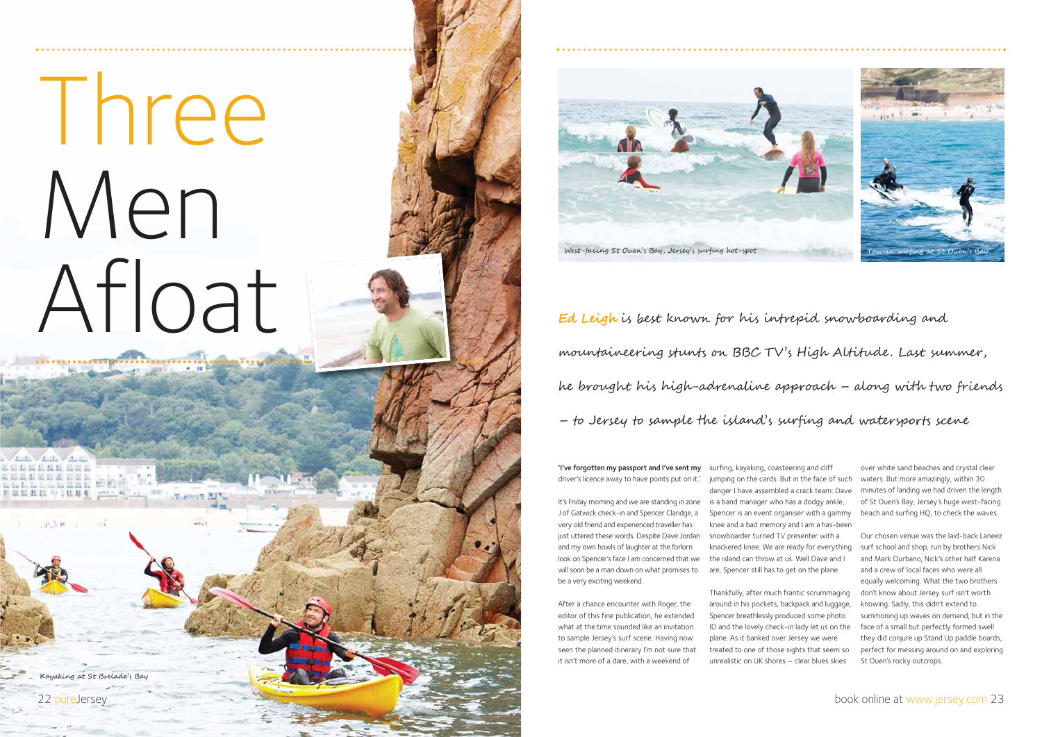'I've forgotten my passport and I've sent my surfing, kayaking, coasteering and cliff driver's licence away to have points put on it.'

It's Friday morning and we are standing in zone J of Gatwick check-in and Spencer Claridge, a very old friend and experienced traveller has just uttered these words. Despite Dave Jordan and my own howls of laughter at the forlorn look on Spencer's face I am concerned that we will soon be a man down on what promises to be a very exciting weekend.

After a chance encounter with Roger, the editor of this fine publication, he extended what at the time sounded like an invitation to sample Jersey's surf scene. Having now seen the planned itinerary I'm not sure that it isn't more of a dare, with a weekend of

jumping on the cards. But in the face of such danger I have assembled a crack team: Dave is a band manager who has a dodgy ankle, Spencer is an event organiser with a gammy knee and a bad memory and I am a has-been snowboarder turned TV presenter with a knackered knee. We are ready for everything the island can throw at us. Well Dave and I are, Spencer still has to get on the plane.

Thankfully, after much frantic scrummaging around in his pockets, backpack and luggage, Spencer breathlessly produced some photo ID and the lovely check-in lady let us on the plane. As it banked over Jersey we were treated to one of those sights that seem so unrealistic on UK shores – clear blues skies

over white sand beaches and crystal clear waters. But more amazingly, within 30 minutes of landing we had driven the length of St Ouen's Bay, Jersey's huge west-facing beach and surfing HQ, to check the waves.

Our chosen venue was the laid-back Laneez surf school and shop, run by brothers Nick and Mark Durbano, Nick's other half Karena and a crew of local faces who were all equally welcoming. What the two brothers don't know about Jersey surf isn't worth knowing. Sadly, this didn't extend to summoning up waves on demand, but in the face of a small but perfectly formed swell they did conjure up Stand Up paddle boards, perfect for messing around on and exploring St Ouen's rocky outcrops.

Ed Leigh is best known for his intrepid snowboarding and mountaineering stunts on BBC TV's High Altitude. Last summer, he brought his high-adrenaline approach – along with two friends – to Jersey to sample the island's surfing and watersports scene

# Three Men Afloat

Kayaking at St Brelade's Bay

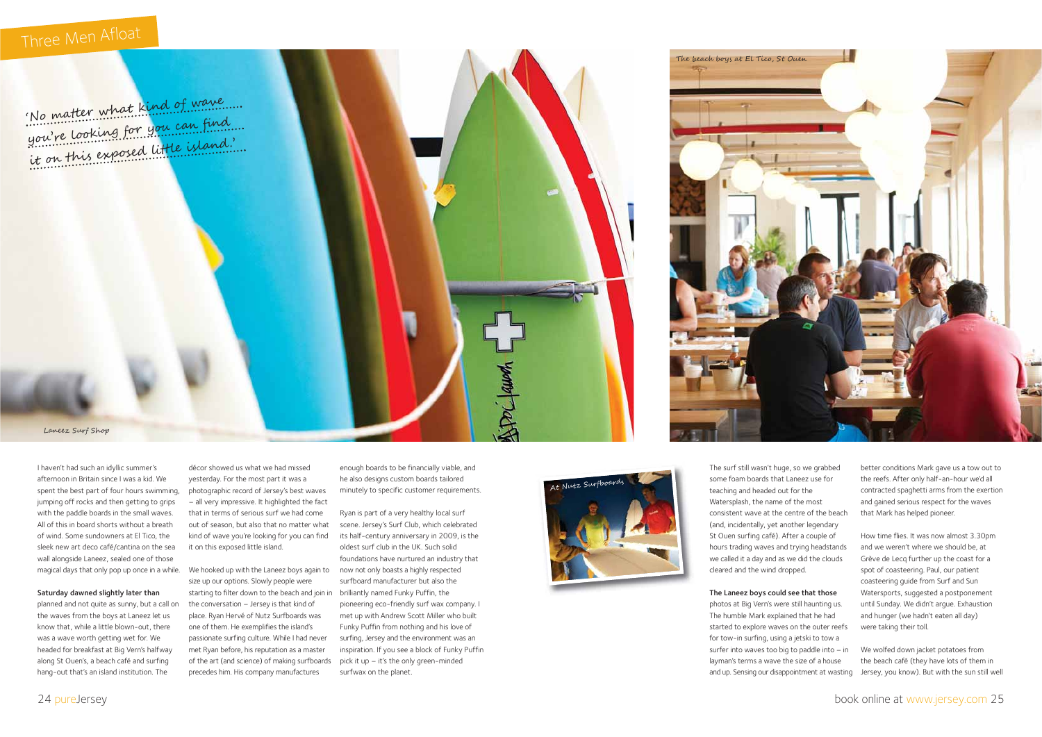I haven't had such an idyllic summer's afternoon in Britain since I was a kid. We spent the best part of four hours swimming, jumping off rocks and then getting to grips with the paddle boards in the small waves. All of this in board shorts without a breath of wind. Some sundowners at El Tico, the sleek new art deco café/cantina on the sea wall alongside Laneez, sealed one of those magical days that only pop up once in a while.

#### Saturday dawned slightly later than

planned and not quite as sunny, but a call on the waves from the boys at Laneez let us know that, while a little blown-out, there was a wave worth getting wet for. We headed for breakfast at Big Vern's halfway along St Ouen's, a beach café and surfing hang-out that's an island institution. The

décor showed us what we had missed yesterday. For the most part it was a photographic record of Jersey's best waves – all very impressive. It highlighted the fact that in terms of serious surf we had come out of season, but also that no matter what kind of wave you're looking for you can find it on this exposed little island.

We hooked up with the Laneez boys again to size up our options. Slowly people were starting to filter down to the beach and join in brilliantly named Funky Puffin, the the conversation – Jersey is that kind of place. Ryan Hervé of Nutz Surfboards was one of them. He exemplifies the island's passionate surfing culture. While I had never met Ryan before, his reputation as a master of the art (and science) of making surfboards precedes him. His company manufactures

enough boards to be financially viable, and he also designs custom boards tailored minutely to specific customer requirements.

Ryan is part of a very healthy local surf scene. Jersey's Surf Club, which celebrated its half-century anniversary in 2009, is the oldest surf club in the UK. Such solid foundations have nurtured an industry that now not only boasts a highly respected surfboard manufacturer but also the pioneering eco-friendly surf wax company. <sup>I</sup> met up with Andrew Scott Miller who built Funky Puffin from nothing and his love of surfing, Jersey and the environment was an inspiration. If you see a block of Funky Puffin pick it up – it's the only green-minded surfwax on the planet.

The surf still wasn't huge, so we grabbed some foam boards that Laneez use for teaching and headed out for the Watersplash, the name of the most consistent wave at the centre of the beach (and, incidentally, yet another legendary St Ouen surfing café). After a couple of hours trading waves and trying headstands we called it a day and as we did the clouds cleared and the wind dropped.

### The Laneez boys could see that those

photos at Big Vern's were still haunting us. The humble Mark explained that he had started to explore waves on the outer reefs for tow-in surfing, using a jetski to tow a surfer into waves too big to paddle into – in layman's terms a wave the size of a house and up. Sensing our disappointment at wasting

better conditions Mark gave us a tow out to the reefs. After only half-an-hour we'd all contracted spaghetti arms from the exertion and gained serious respect for the waves that Mark has helped pioneer.

How time flies. It was now almost 3.30pm and we weren't where we should be, at Grève de Lecq further up the coast for a spot of coasteering. Paul, our patient coasteering guide from Surf and Sun Watersports, suggested a postponement until Sunday. We didn't argue. Exhaustion and hunger (we hadn't eaten all day) were taking their toll.

We wolfed down jacket potatoes from the beach café (they have lots of them in Jersey, you know). But with the sun still well

## Three Men Afloat



Laneez Surf Shop